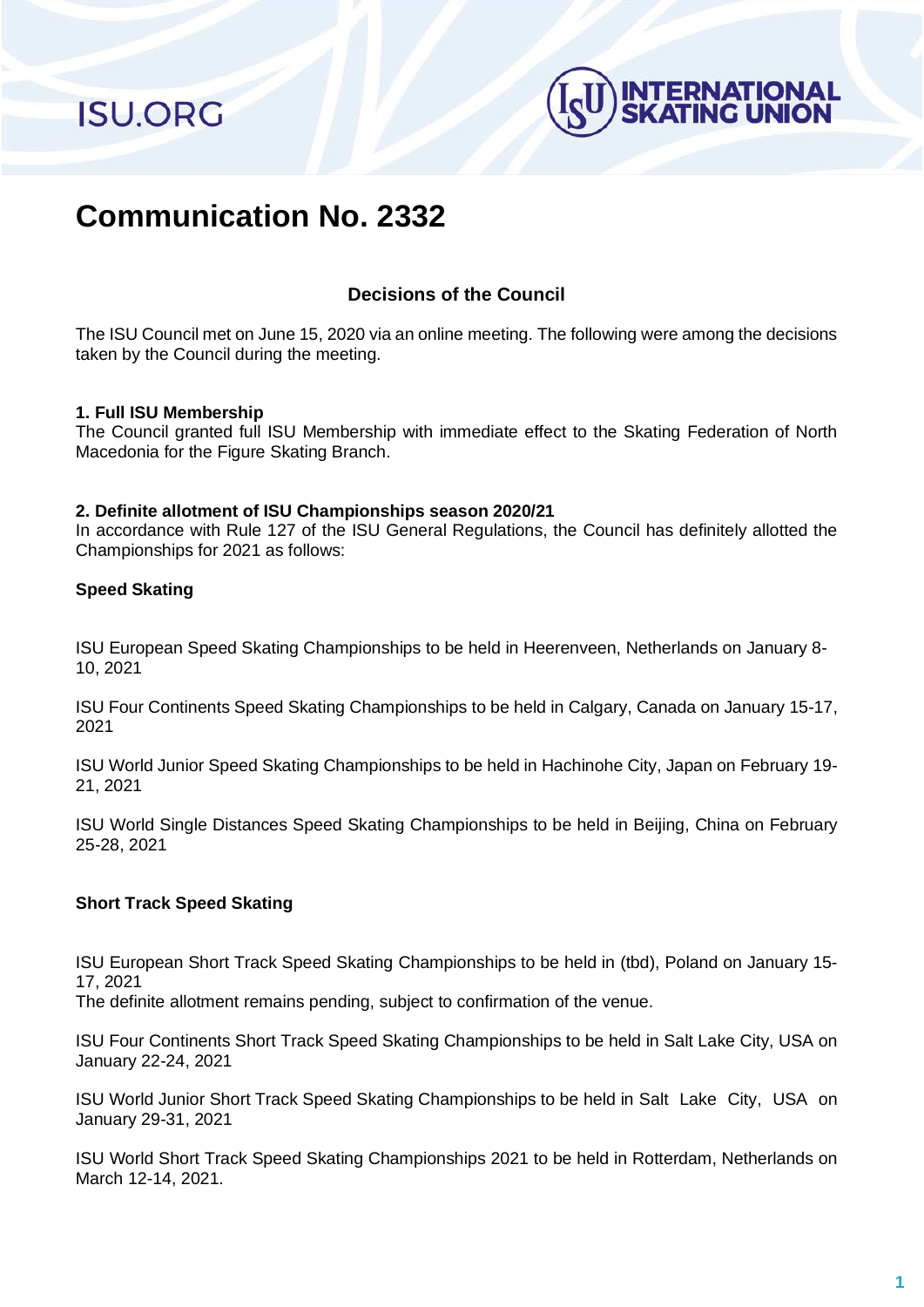**ISU.ORG** 



# **Communication No. 2332**

# **Decisions of the Council**

The ISU Council met on June 15, 2020 via an online meeting. The following were among the decisions taken by the Council during the meeting.

#### **1. Full ISU Membership**

The Council granted full ISU Membership with immediate effect to the Skating Federation of North Macedonia for the Figure Skating Branch.

#### **2. Definite allotment of ISU Championships season 2020/21**

In accordance with Rule 127 of the ISU General Regulations, the Council has definitely allotted the Championships for 2021 as follows:

# **Speed Skating**

ISU European Speed Skating Championships to be held in Heerenveen, Netherlands on January 8- 10, 2021

ISU Four Continents Speed Skating Championships to be held in Calgary, Canada on January 15-17, 2021

ISU World Junior Speed Skating Championships to be held in Hachinohe City, Japan on February 19- 21, 2021

ISU World Single Distances Speed Skating Championships to be held in Beijing, China on February 25-28, 2021

# **Short Track Speed Skating**

ISU European Short Track Speed Skating Championships to be held in (tbd), Poland on January 15- 17, 2021

The definite allotment remains pending, subject to confirmation of the venue.

ISU Four Continents Short Track Speed Skating Championships to be held in Salt Lake City, USA on January 22-24, 2021

ISU World Junior Short Track Speed Skating Championships to be held in Salt Lake City, USA on January 29-31, 2021

ISU World Short Track Speed Skating Championships 2021 to be held in Rotterdam, Netherlands on March 12-14, 2021.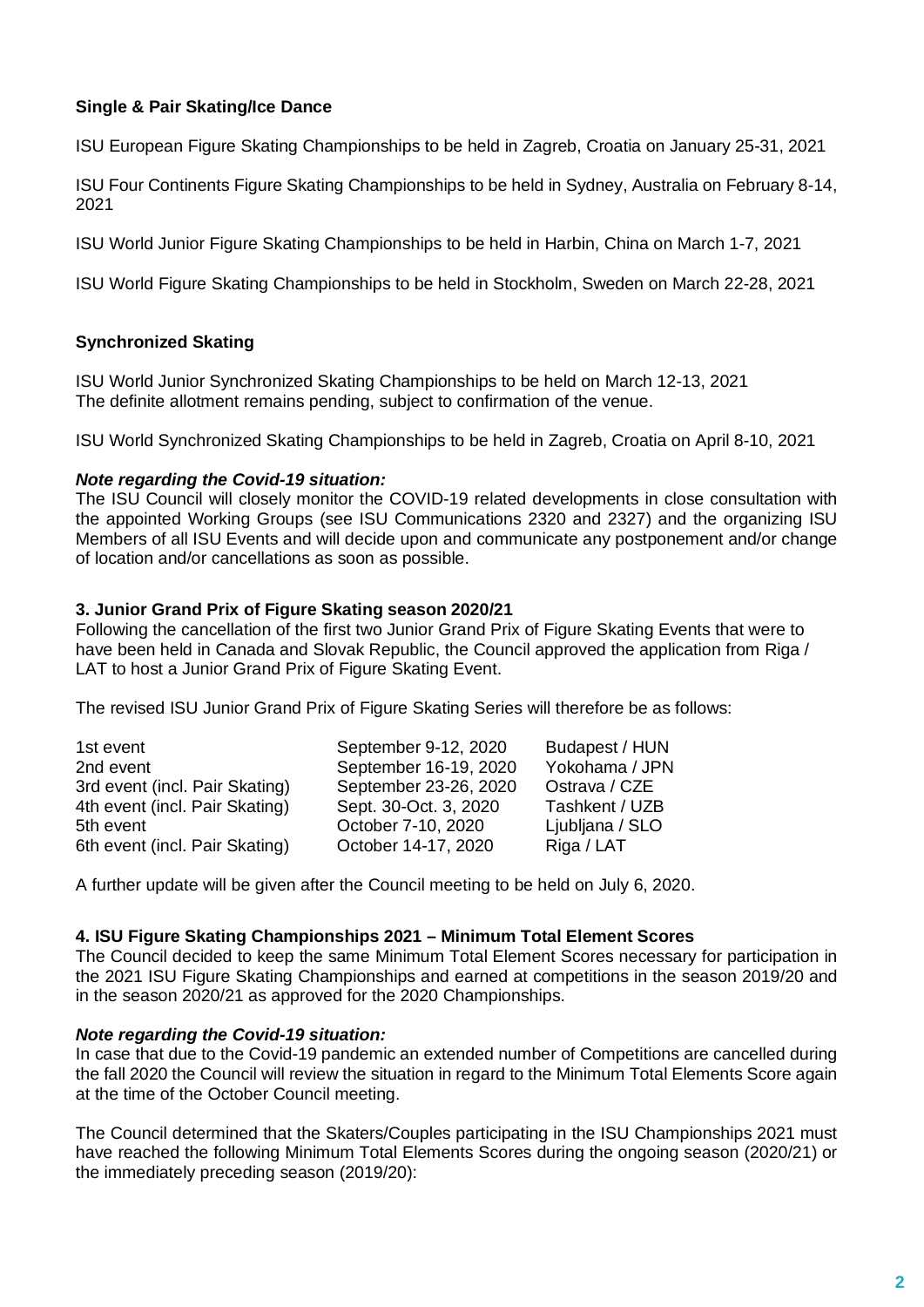# **Single & Pair Skating/Ice Dance**

ISU European Figure Skating Championships to be held in Zagreb, Croatia on January 25-31, 2021

ISU Four Continents Figure Skating Championships to be held in Sydney, Australia on February 8-14, 2021

ISU World Junior Figure Skating Championships to be held in Harbin, China on March 1-7, 2021

ISU World Figure Skating Championships to be held in Stockholm, Sweden on March 22-28, 2021

# **Synchronized Skating**

ISU World Junior Synchronized Skating Championships to be held on March 12-13, 2021 The definite allotment remains pending, subject to confirmation of the venue.

ISU World Synchronized Skating Championships to be held in Zagreb, Croatia on April 8-10, 2021

#### *Note regarding the Covid-19 situation:*

The ISU Council will closely monitor the COVID-19 related developments in close consultation with the appointed Working Groups (see ISU Communications 2320 and 2327) and the organizing ISU Members of all ISU Events and will decide upon and communicate any postponement and/or change of location and/or cancellations as soon as possible.

# **3. Junior Grand Prix of Figure Skating season 2020/21**

Following the cancellation of the first two Junior Grand Prix of Figure Skating Events that were to have been held in Canada and Slovak Republic, the Council approved the application from Riga / LAT to host a Junior Grand Prix of Figure Skating Event.

The revised ISU Junior Grand Prix of Figure Skating Series will therefore be as follows:

| 1st event                      | September 9-12, 2020  | Budapest / HUN  |
|--------------------------------|-----------------------|-----------------|
| 2nd event                      | September 16-19, 2020 | Yokohama / JPN  |
| 3rd event (incl. Pair Skating) | September 23-26, 2020 | Ostrava / CZE   |
| 4th event (incl. Pair Skating) | Sept. 30-Oct. 3, 2020 | Tashkent / UZB  |
| 5th event                      | October 7-10, 2020    | Ljubljana / SLO |
| 6th event (incl. Pair Skating) | October 14-17, 2020   | Riga / LAT      |

A further update will be given after the Council meeting to be held on July 6, 2020.

# **4. ISU Figure Skating Championships 2021 – Minimum Total Element Scores**

The Council decided to keep the same Minimum Total Element Scores necessary for participation in the 2021 ISU Figure Skating Championships and earned at competitions in the season 2019/20 and in the season 2020/21 as approved for the 2020 Championships.

#### *Note regarding the Covid-19 situation:*

In case that due to the Covid-19 pandemic an extended number of Competitions are cancelled during the fall 2020 the Council will review the situation in regard to the Minimum Total Elements Score again at the time of the October Council meeting.

The Council determined that the Skaters/Couples participating in the ISU Championships 2021 must have reached the following Minimum Total Elements Scores during the ongoing season (2020/21) or the immediately preceding season (2019/20):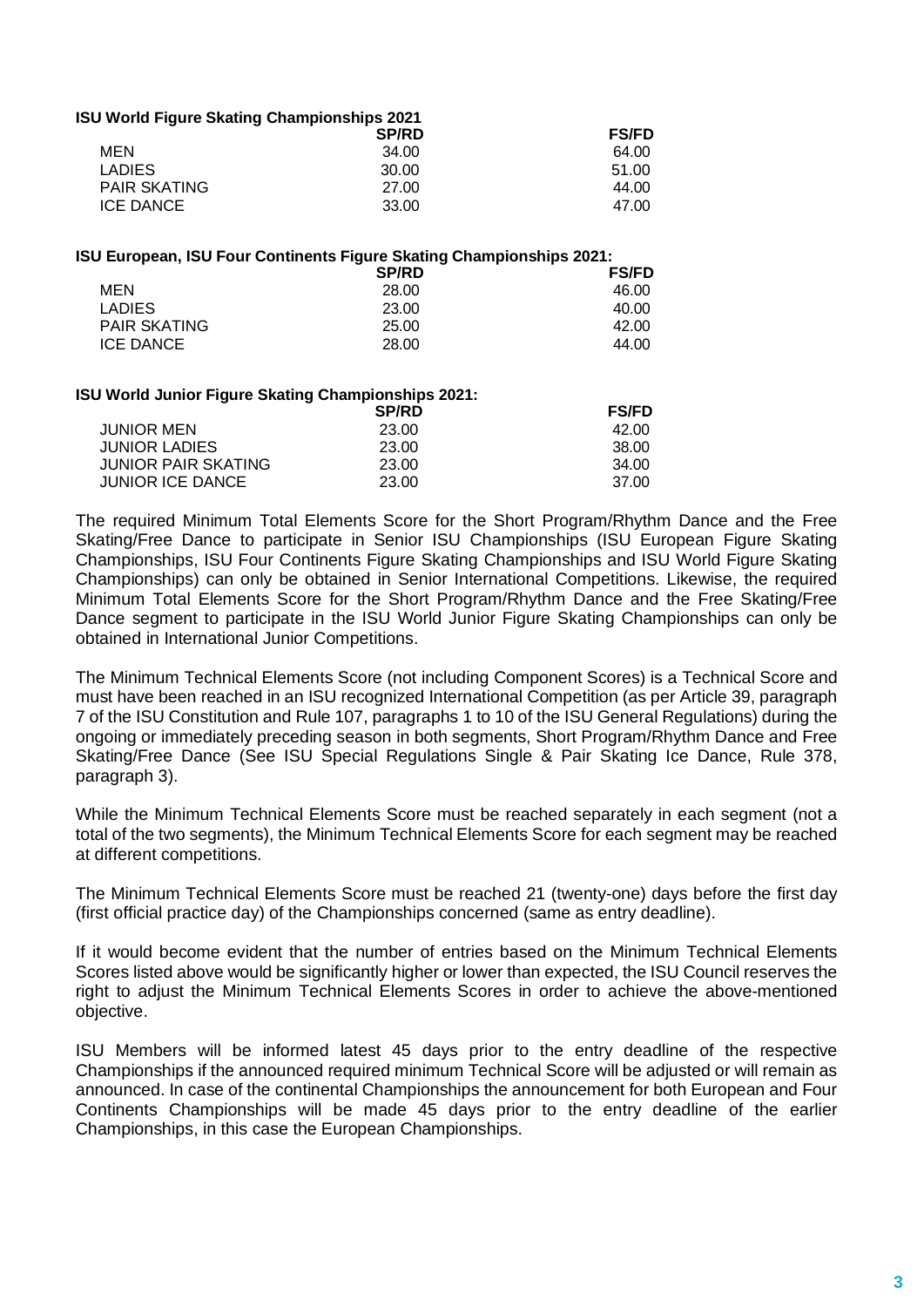| <b>ISU World Figure Skating Championships 2021</b> |              |              |  |
|----------------------------------------------------|--------------|--------------|--|
|                                                    | <b>SP/RD</b> | <b>FS/FD</b> |  |
| MFN                                                | 34.00        | 64.00        |  |
| <b>LADIES</b>                                      | 30.00        | 51.00        |  |
| <b>PAIR SKATING</b>                                | 27.00        | 44.00        |  |
| <b>ICE DANCE</b>                                   | 33.00        | 47.00        |  |
|                                                    |              |              |  |

| ISU European, ISU Four Continents Figure Skating Championships 2021: |              |              |  |  |
|----------------------------------------------------------------------|--------------|--------------|--|--|
|                                                                      | <b>SP/RD</b> | <b>FS/FD</b> |  |  |
| MEN                                                                  | 28.00        | 46.00        |  |  |
| <b>LADIES</b>                                                        | 23.00        | 40.00        |  |  |
| <b>PAIR SKATING</b>                                                  | 25.00        | 42.00        |  |  |
| <b>ICE DANCE</b>                                                     | 28.00        | 44.00        |  |  |
|                                                                      |              |              |  |  |

#### **ISU World Junior Figure Skating Championships 2021:**

|       | <b>FS/FD</b> |
|-------|--------------|
| 23.00 | 42.00        |
| 23.00 | 38.00        |
| 23.00 | 34.00        |
| 23.00 | 37.00        |
|       | <b>SP/RD</b> |

The required Minimum Total Elements Score for the Short Program/Rhythm Dance and the Free Skating/Free Dance to participate in Senior ISU Championships (ISU European Figure Skating Championships, ISU Four Continents Figure Skating Championships and ISU World Figure Skating Championships) can only be obtained in Senior International Competitions. Likewise, the required Minimum Total Elements Score for the Short Program/Rhythm Dance and the Free Skating/Free Dance segment to participate in the ISU World Junior Figure Skating Championships can only be obtained in International Junior Competitions.

The Minimum Technical Elements Score (not including Component Scores) is a Technical Score and must have been reached in an ISU recognized International Competition (as per Article 39, paragraph 7 of the ISU Constitution and Rule 107, paragraphs 1 to 10 of the ISU General Regulations) during the ongoing or immediately preceding season in both segments, Short Program/Rhythm Dance and Free Skating/Free Dance (See ISU Special Regulations Single & Pair Skating Ice Dance, Rule 378, paragraph 3).

While the Minimum Technical Elements Score must be reached separately in each segment (not a total of the two segments), the Minimum Technical Elements Score for each segment may be reached at different competitions.

The Minimum Technical Elements Score must be reached 21 (twenty-one) days before the first day (first official practice day) of the Championships concerned (same as entry deadline).

If it would become evident that the number of entries based on the Minimum Technical Elements Scores listed above would be significantly higher or lower than expected, the ISU Council reserves the right to adjust the Minimum Technical Elements Scores in order to achieve the above-mentioned objective.

ISU Members will be informed latest 45 days prior to the entry deadline of the respective Championships if the announced required minimum Technical Score will be adjusted or will remain as announced. In case of the continental Championships the announcement for both European and Four Continents Championships will be made 45 days prior to the entry deadline of the earlier Championships, in this case the European Championships.